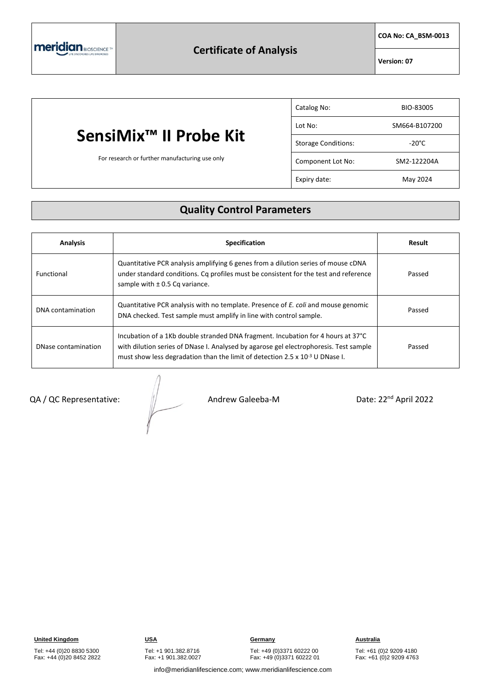**COA No: CA\_BSM-0013**

**Version: 07**

# **SensiMix™ II Probe Kit**

For research or further manufacturing use only

| Catalog No:                | BIO-83005       |
|----------------------------|-----------------|
| Lot No:                    | SM664-B107200   |
| <b>Storage Conditions:</b> | $-20^{\circ}$ C |
| Component Lot No:          | SM2-122204A     |
| Expiry date:               | May 2024        |

### **Quality Control Parameters**

| <b>Analysis</b>     | <b>Specification</b>                                                                                                                                                                                                                                           | Result |
|---------------------|----------------------------------------------------------------------------------------------------------------------------------------------------------------------------------------------------------------------------------------------------------------|--------|
| Functional          | Quantitative PCR analysis amplifying 6 genes from a dilution series of mouse cDNA<br>under standard conditions. Cq profiles must be consistent for the test and reference<br>sample with $\pm$ 0.5 Cq variance.                                                | Passed |
| DNA contamination   | Quantitative PCR analysis with no template. Presence of <i>E. coli</i> and mouse genomic<br>DNA checked. Test sample must amplify in line with control sample.                                                                                                 | Passed |
| DNase contamination | Incubation of a 1Kb double stranded DNA fragment. Incubation for 4 hours at 37°C<br>with dilution series of DNase I. Analysed by agarose gel electrophoresis. Test sample<br>must show less degradation than the limit of detection 2.5 x $10^{-3}$ U DNase I. | Passed |

#### $QA / QC$  Representative:  $||$  Andrew Galeeba-M

Date: 22<sup>nd</sup> April 2022

Tel: +44 (0)20 8830 5300 Fax: +44 (0)20 8452 2822

## Tel: +49 (0)3371 60222 00

Fax: +49 (0)3371 60222 01

Tel: +61 (0)2 9209 4180 Fax: +61 (0)2 9209 4763